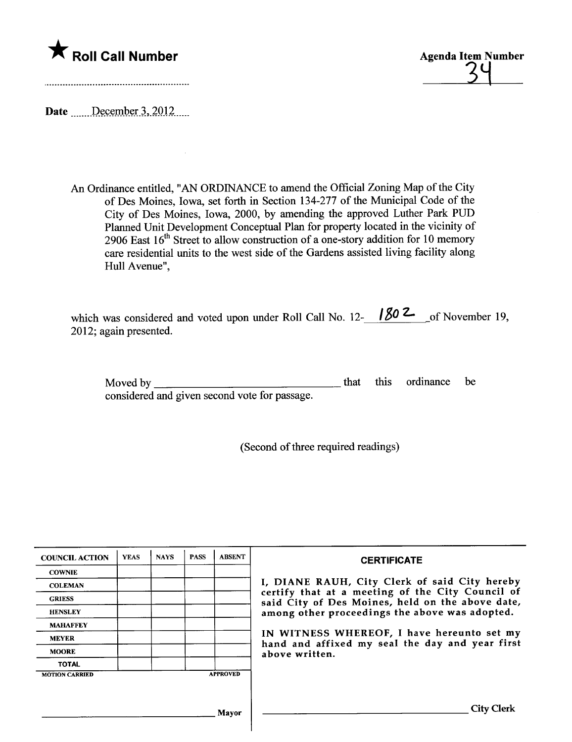



Date *\_\_\_\_\_December* 3, 2012

 $\bar{z}$ 

An Ordinance entitled, "AN ORDINANCE to amend the Official Zoning Map of the City of Des Moines, Iowa, set forth in Section 134-277 of the Muncipal Code of the City of Des Moines, Iowa, 2000, by amending the approved Luther Park PUD Planned Unit Development Conceptual Plan for property located in the vicinity of 2906 East  $16<sup>th</sup>$  Street to allow construction of a one-story addition for 10 memory care residential units to the west side of the Gardens assisted living facility along Hull Avenue",

| which was considered and voted upon under Roll Call No. 12- $\frac{1802}{ }$ of November 19, |  |
|----------------------------------------------------------------------------------------------|--|
| 2012; again presented.                                                                       |  |

| Moved by                                      |  | that this ordinance be |  |
|-----------------------------------------------|--|------------------------|--|
| considered and given second vote for passage. |  |                        |  |

(Second of three required readings)

| <b>COUNCIL ACTION</b> | <b>YEAS</b> | <b>NAYS</b> | <b>PASS</b> | <b>ABSENT</b>   | <b>CERTIFICATE</b>                                                                                   |  |
|-----------------------|-------------|-------------|-------------|-----------------|------------------------------------------------------------------------------------------------------|--|
| <b>COWNIE</b>         |             |             |             |                 |                                                                                                      |  |
| <b>COLEMAN</b>        |             |             |             |                 | I, DIANE RAUH, City Clerk of said City hereby                                                        |  |
| <b>GRIESS</b>         |             |             |             |                 | certify that at a meeting of the City Council of<br>said City of Des Moines, held on the above date, |  |
| <b>HENSLEY</b>        |             |             |             |                 | among other proceedings the above was adopted.                                                       |  |
| <b>MAHAFFEY</b>       |             |             |             |                 |                                                                                                      |  |
| <b>MEYER</b>          |             |             |             |                 | IN WITNESS WHEREOF, I have hereunto set my<br>hand and affixed my seal the day and year first        |  |
| <b>MOORE</b>          |             |             |             |                 | above written.                                                                                       |  |
| <b>TOTAL</b>          |             |             |             |                 |                                                                                                      |  |
| <b>MOTION CARRIED</b> |             |             |             | <b>APPROVED</b> |                                                                                                      |  |
|                       |             |             |             |                 |                                                                                                      |  |
|                       |             |             |             |                 |                                                                                                      |  |
|                       |             |             |             | Mavor           | City Clerk                                                                                           |  |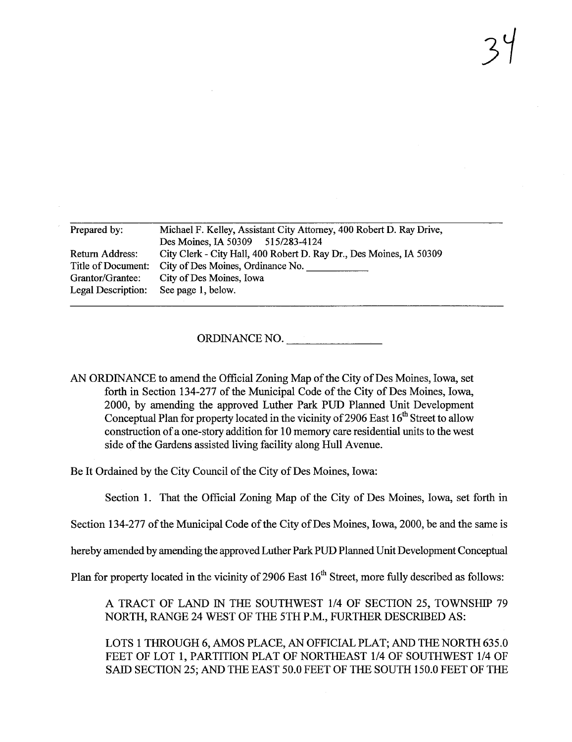| Michael F. Kelley, Assistant City Attorney, 400 Robert D. Ray Drive, |  |  |  |
|----------------------------------------------------------------------|--|--|--|
| Des Moines, IA 50309 515/283-4124                                    |  |  |  |
| City Clerk - City Hall, 400 Robert D. Ray Dr., Des Moines, IA 50309  |  |  |  |
| City of Des Moines, Ordinance No.                                    |  |  |  |
| City of Des Moines, Iowa                                             |  |  |  |
| See page 1, below.                                                   |  |  |  |
|                                                                      |  |  |  |

ORDINANCE NO.

AN ORDINANCE to amend the Official Zoning Map of the City of Des Moines, Iowa, set forth in Section 134-277 of the Municipal Code of the City of Des Moines, Iowa, 2000, by amending the approved Luther Park PUD Planed Unit Development Conceptual Plan for property located in the vicinity of 2906 East  $16^{th}$  Street to allow construction of a one-story addition for 10 memory care residential units to the west side of the Gardens assisted living facilty along Hull Avenue.

Be It Ordained by the City Council of the City of Des Moines, Iowa:

Section 1. That the Official Zoning Map of the City of Des Moines, Iowa, set forth in

Section 134-277 of the Municipal Code of the City of Des Moines, Iowa, 2000, be and the same is

hereby amended by amending the approved Luther Park PUD Planed Unit Development Conceptu

Plan for property located in the vicinity of 2906 East 16<sup>th</sup> Street, more fully described as follows:

A TRACT OF LAND IN THE SOUTHWEST 1/4 OF SECTION 25, TOWNSHIP 79 NORTH, RANGE 24 WEST OF THE 5TH P.M., FURTHER DESCRIBED AS:

LOTS 1 THROUGH 6, AMOS PLACE, AN OFFICIAL PLAT; AND THE NORTH 635.0 FEET OF LOT 1, PARTITION PLAT OF NORTHEAST 1/4 OF SOUTHWEST 1/4 OF SAID SECTION 25; AND THE EAST 50.0 FEET OF THE SOUTH 150.0 FEET OF THE